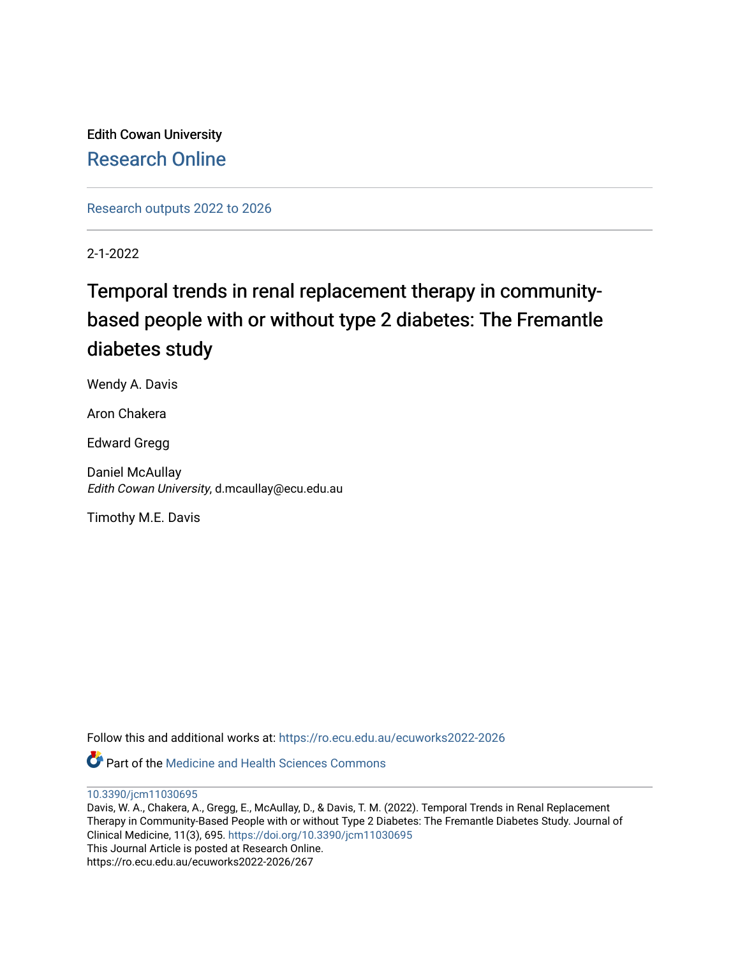Edith Cowan University [Research Online](https://ro.ecu.edu.au/) 

[Research outputs 2022 to 2026](https://ro.ecu.edu.au/ecuworks2022-2026) 

2-1-2022

# Temporal trends in renal replacement therapy in communitybased people with or without type 2 diabetes: The Fremantle diabetes study

Wendy A. Davis

Aron Chakera

Edward Gregg

Daniel McAullay Edith Cowan University, d.mcaullay@ecu.edu.au

Timothy M.E. Davis

Follow this and additional works at: [https://ro.ecu.edu.au/ecuworks2022-2026](https://ro.ecu.edu.au/ecuworks2022-2026?utm_source=ro.ecu.edu.au%2Fecuworks2022-2026%2F267&utm_medium=PDF&utm_campaign=PDFCoverPages)

**P** Part of the Medicine and Health Sciences Commons

[10.3390/jcm11030695](http://dx.doi.org/10.3390/jcm11030695) 

Davis, W. A., Chakera, A., Gregg, E., McAullay, D., & Davis, T. M. (2022). Temporal Trends in Renal Replacement Therapy in Community-Based People with or without Type 2 Diabetes: The Fremantle Diabetes Study. Journal of Clinical Medicine, 11(3), 695. <https://doi.org/10.3390/jcm11030695> This Journal Article is posted at Research Online. https://ro.ecu.edu.au/ecuworks2022-2026/267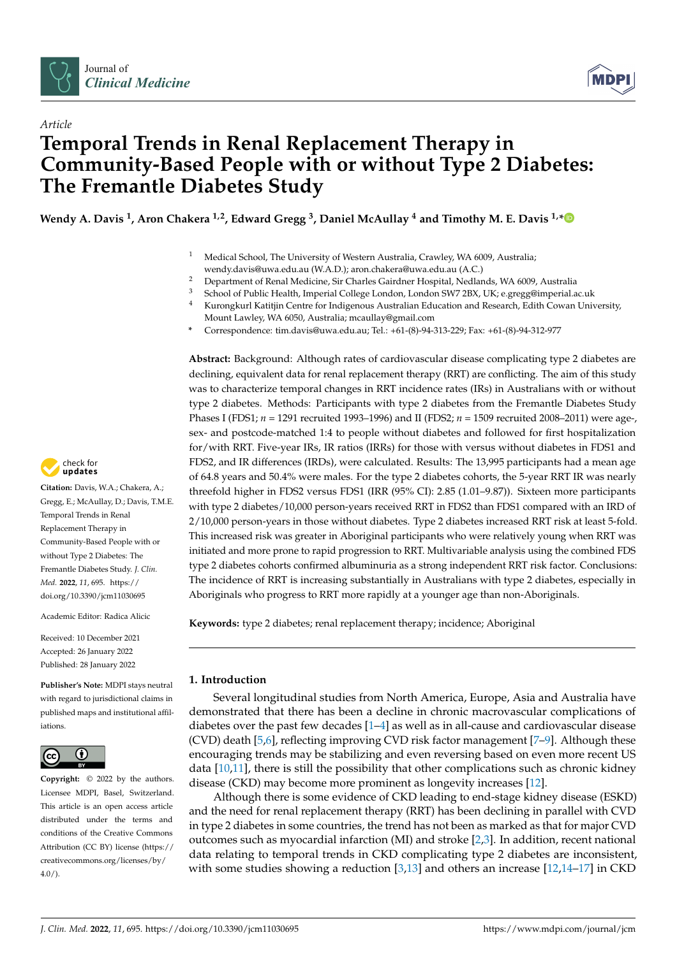



# *Article* **Temporal Trends in Renal Replacement Therapy in Community-Based People with or without Type 2 Diabetes: The Fremantle Diabetes Study**

**Wendy A. Davis <sup>1</sup> , Aron Chakera 1,2, Edward Gregg <sup>3</sup> , Daniel McAullay <sup>4</sup> and Timothy M. E. Davis 1,[\\*](https://orcid.org/0000-0003-0749-7411)**

- <sup>1</sup> Medical School, The University of Western Australia, Crawley, WA 6009, Australia; wendy.davis@uwa.edu.au (W.A.D.); aron.chakera@uwa.edu.au (A.C.)
- <sup>2</sup> Department of Renal Medicine, Sir Charles Gairdner Hospital, Nedlands, WA 6009, Australia<br><sup>3</sup> Sebasel of Public Hoselth, Imperial College Landen, Landen SMZ, 2PX, LIV is arrangemental of
- <sup>3</sup> School of Public Health, Imperial College London, London SW7 2BX, UK; e.gregg@imperial.ac.uk
- <sup>4</sup> Kurongkurl Katitjin Centre for Indigenous Australian Education and Research, Edith Cowan University, Mount Lawley, WA 6050, Australia; mcaullay@gmail.com
- **\*** Correspondence: tim.davis@uwa.edu.au; Tel.: +61-(8)-94-313-229; Fax: +61-(8)-94-312-977

**Abstract:** Background: Although rates of cardiovascular disease complicating type 2 diabetes are declining, equivalent data for renal replacement therapy (RRT) are conflicting. The aim of this study was to characterize temporal changes in RRT incidence rates (IRs) in Australians with or without type 2 diabetes. Methods: Participants with type 2 diabetes from the Fremantle Diabetes Study Phases I (FDS1; *n* = 1291 recruited 1993–1996) and II (FDS2; *n* = 1509 recruited 2008–2011) were age-, sex- and postcode-matched 1:4 to people without diabetes and followed for first hospitalization for/with RRT. Five-year IRs, IR ratios (IRRs) for those with versus without diabetes in FDS1 and FDS2, and IR differences (IRDs), were calculated. Results: The 13,995 participants had a mean age of 64.8 years and 50.4% were males. For the type 2 diabetes cohorts, the 5-year RRT IR was nearly threefold higher in FDS2 versus FDS1 (IRR (95% CI): 2.85 (1.01–9.87)). Sixteen more participants with type 2 diabetes/10,000 person-years received RRT in FDS2 than FDS1 compared with an IRD of 2/10,000 person-years in those without diabetes. Type 2 diabetes increased RRT risk at least 5-fold. This increased risk was greater in Aboriginal participants who were relatively young when RRT was initiated and more prone to rapid progression to RRT. Multivariable analysis using the combined FDS type 2 diabetes cohorts confirmed albuminuria as a strong independent RRT risk factor. Conclusions: The incidence of RRT is increasing substantially in Australians with type 2 diabetes, especially in Aboriginals who progress to RRT more rapidly at a younger age than non-Aboriginals.

**Keywords:** type 2 diabetes; renal replacement therapy; incidence; Aboriginal

# **1. Introduction**

Several longitudinal studies from North America, Europe, Asia and Australia have demonstrated that there has been a decline in chronic macrovascular complications of diabetes over the past few decades [\[1](#page-13-0)[–4\]](#page-13-1) as well as in all-cause and cardiovascular disease (CVD) death [\[5](#page-13-2)[,6\]](#page-13-3), reflecting improving CVD risk factor management [\[7](#page-13-4)[–9\]](#page-13-5). Although these encouraging trends may be stabilizing and even reversing based on even more recent US data [\[10,](#page-13-6)[11\]](#page-13-7), there is still the possibility that other complications such as chronic kidney disease (CKD) may become more prominent as longevity increases [\[12\]](#page-13-8).

Although there is some evidence of CKD leading to end-stage kidney disease (ESKD) and the need for renal replacement therapy (RRT) has been declining in parallel with CVD in type 2 diabetes in some countries, the trend has not been as marked as that for major CVD outcomes such as myocardial infarction (MI) and stroke [\[2,](#page-13-9)[3\]](#page-13-10). In addition, recent national data relating to temporal trends in CKD complicating type 2 diabetes are inconsistent, with some studies showing a reduction [\[3,](#page-13-10)[13\]](#page-14-0) and others an increase [\[12](#page-13-8)[,14–](#page-14-1)[17\]](#page-14-2) in CKD



**Citation:** Davis, W.A.; Chakera, A.; Gregg, E.; McAullay, D.; Davis, T.M.E. Temporal Trends in Renal Replacement Therapy in Community-Based People with or without Type 2 Diabetes: The Fremantle Diabetes Study. *J. Clin. Med.* **2022**, *11*, 695. [https://](https://doi.org/10.3390/jcm11030695) [doi.org/10.3390/jcm11030695](https://doi.org/10.3390/jcm11030695)

Academic Editor: Radica Alicic

Received: 10 December 2021 Accepted: 26 January 2022 Published: 28 January 2022

**Publisher's Note:** MDPI stays neutral with regard to jurisdictional claims in published maps and institutional affiliations.



**Copyright:** © 2022 by the authors. Licensee MDPI, Basel, Switzerland. This article is an open access article distributed under the terms and conditions of the Creative Commons Attribution (CC BY) license [\(https://](https://creativecommons.org/licenses/by/4.0/) [creativecommons.org/licenses/by/](https://creativecommons.org/licenses/by/4.0/)  $4.0/$ ).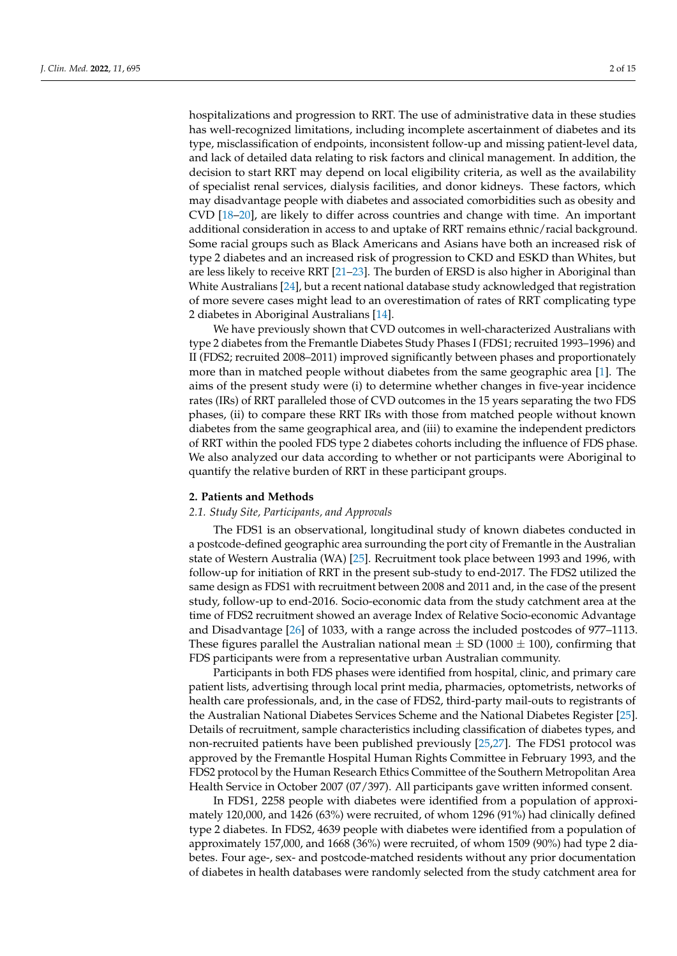hospitalizations and progression to RRT. The use of administrative data in these studies has well-recognized limitations, including incomplete ascertainment of diabetes and its type, misclassification of endpoints, inconsistent follow-up and missing patient-level data, and lack of detailed data relating to risk factors and clinical management. In addition, the decision to start RRT may depend on local eligibility criteria, as well as the availability of specialist renal services, dialysis facilities, and donor kidneys. These factors, which may disadvantage people with diabetes and associated comorbidities such as obesity and CVD [\[18](#page-14-3)[–20\]](#page-14-4), are likely to differ across countries and change with time. An important additional consideration in access to and uptake of RRT remains ethnic/racial background. Some racial groups such as Black Americans and Asians have both an increased risk of type 2 diabetes and an increased risk of progression to CKD and ESKD than Whites, but are less likely to receive RRT [\[21](#page-14-5)[–23\]](#page-14-6). The burden of ERSD is also higher in Aboriginal than White Australians [\[24\]](#page-14-7), but a recent national database study acknowledged that registration of more severe cases might lead to an overestimation of rates of RRT complicating type 2 diabetes in Aboriginal Australians [\[14\]](#page-14-1).

We have previously shown that CVD outcomes in well-characterized Australians with type 2 diabetes from the Fremantle Diabetes Study Phases I (FDS1; recruited 1993–1996) and II (FDS2; recruited 2008–2011) improved significantly between phases and proportionately more than in matched people without diabetes from the same geographic area [\[1\]](#page-13-0). The aims of the present study were (i) to determine whether changes in five-year incidence rates (IRs) of RRT paralleled those of CVD outcomes in the 15 years separating the two FDS phases, (ii) to compare these RRT IRs with those from matched people without known diabetes from the same geographical area, and (iii) to examine the independent predictors of RRT within the pooled FDS type 2 diabetes cohorts including the influence of FDS phase. We also analyzed our data according to whether or not participants were Aboriginal to quantify the relative burden of RRT in these participant groups.

#### **2. Patients and Methods**

#### *2.1. Study Site, Participants, and Approvals*

The FDS1 is an observational, longitudinal study of known diabetes conducted in a postcode-defined geographic area surrounding the port city of Fremantle in the Australian state of Western Australia (WA) [\[25\]](#page-14-8). Recruitment took place between 1993 and 1996, with follow-up for initiation of RRT in the present sub-study to end-2017. The FDS2 utilized the same design as FDS1 with recruitment between 2008 and 2011 and, in the case of the present study, follow-up to end-2016. Socio-economic data from the study catchment area at the time of FDS2 recruitment showed an average Index of Relative Socio-economic Advantage and Disadvantage [\[26\]](#page-14-9) of 1033, with a range across the included postcodes of 977–1113. These figures parallel the Australian national mean  $\pm$  SD (1000  $\pm$  100), confirming that FDS participants were from a representative urban Australian community.

Participants in both FDS phases were identified from hospital, clinic, and primary care patient lists, advertising through local print media, pharmacies, optometrists, networks of health care professionals, and, in the case of FDS2, third-party mail-outs to registrants of the Australian National Diabetes Services Scheme and the National Diabetes Register [\[25\]](#page-14-8). Details of recruitment, sample characteristics including classification of diabetes types, and non-recruited patients have been published previously [\[25,](#page-14-8)[27\]](#page-14-10). The FDS1 protocol was approved by the Fremantle Hospital Human Rights Committee in February 1993, and the FDS2 protocol by the Human Research Ethics Committee of the Southern Metropolitan Area Health Service in October 2007 (07/397). All participants gave written informed consent.

In FDS1, 2258 people with diabetes were identified from a population of approximately 120,000, and 1426 (63%) were recruited, of whom 1296 (91%) had clinically defined type 2 diabetes. In FDS2, 4639 people with diabetes were identified from a population of approximately 157,000, and 1668 (36%) were recruited, of whom 1509 (90%) had type 2 diabetes. Four age-, sex- and postcode-matched residents without any prior documentation of diabetes in health databases were randomly selected from the study catchment area for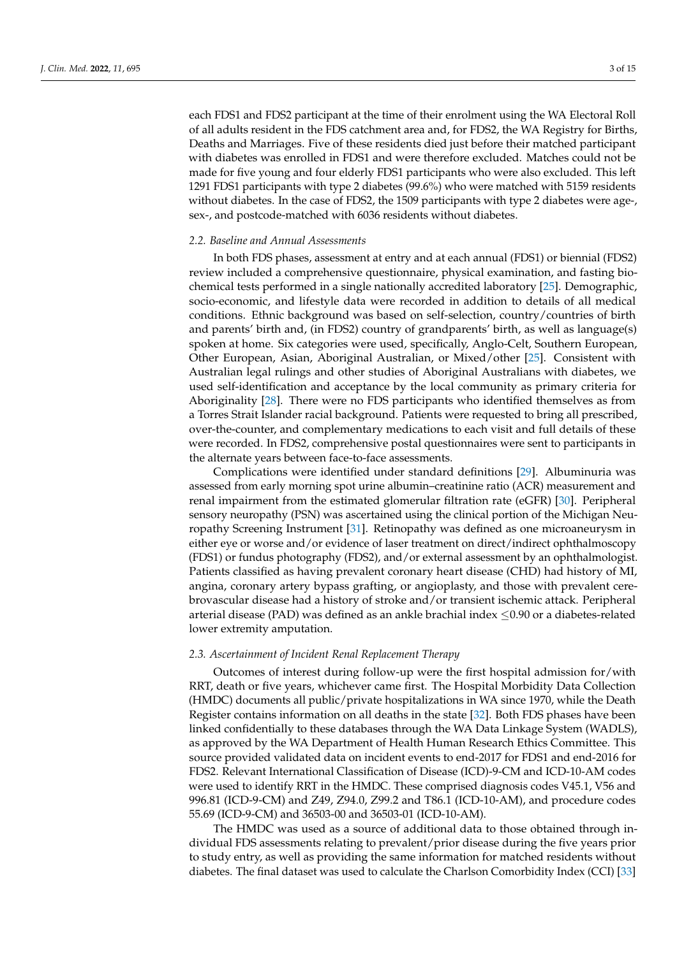each FDS1 and FDS2 participant at the time of their enrolment using the WA Electoral Roll of all adults resident in the FDS catchment area and, for FDS2, the WA Registry for Births, Deaths and Marriages. Five of these residents died just before their matched participant with diabetes was enrolled in FDS1 and were therefore excluded. Matches could not be made for five young and four elderly FDS1 participants who were also excluded. This left 1291 FDS1 participants with type 2 diabetes (99.6%) who were matched with 5159 residents without diabetes. In the case of FDS2, the 1509 participants with type 2 diabetes were age-, sex-, and postcode-matched with 6036 residents without diabetes.

#### *2.2. Baseline and Annual Assessments*

In both FDS phases, assessment at entry and at each annual (FDS1) or biennial (FDS2) review included a comprehensive questionnaire, physical examination, and fasting biochemical tests performed in a single nationally accredited laboratory [\[25\]](#page-14-8). Demographic, socio-economic, and lifestyle data were recorded in addition to details of all medical conditions. Ethnic background was based on self-selection, country/countries of birth and parents' birth and, (in FDS2) country of grandparents' birth, as well as language(s) spoken at home. Six categories were used, specifically, Anglo-Celt, Southern European, Other European, Asian, Aboriginal Australian, or Mixed/other [\[25\]](#page-14-8). Consistent with Australian legal rulings and other studies of Aboriginal Australians with diabetes, we used self-identification and acceptance by the local community as primary criteria for Aboriginality [\[28\]](#page-14-11). There were no FDS participants who identified themselves as from a Torres Strait Islander racial background. Patients were requested to bring all prescribed, over-the-counter, and complementary medications to each visit and full details of these were recorded. In FDS2, comprehensive postal questionnaires were sent to participants in the alternate years between face-to-face assessments.

Complications were identified under standard definitions [\[29\]](#page-14-12). Albuminuria was assessed from early morning spot urine albumin–creatinine ratio (ACR) measurement and renal impairment from the estimated glomerular filtration rate (eGFR) [\[30\]](#page-14-13). Peripheral sensory neuropathy (PSN) was ascertained using the clinical portion of the Michigan Neuropathy Screening Instrument [\[31\]](#page-14-14). Retinopathy was defined as one microaneurysm in either eye or worse and/or evidence of laser treatment on direct/indirect ophthalmoscopy (FDS1) or fundus photography (FDS2), and/or external assessment by an ophthalmologist. Patients classified as having prevalent coronary heart disease (CHD) had history of MI, angina, coronary artery bypass grafting, or angioplasty, and those with prevalent cerebrovascular disease had a history of stroke and/or transient ischemic attack. Peripheral arterial disease (PAD) was defined as an ankle brachial index  $\leq$ 0.90 or a diabetes-related lower extremity amputation.

#### *2.3. Ascertainment of Incident Renal Replacement Therapy*

Outcomes of interest during follow-up were the first hospital admission for/with RRT, death or five years, whichever came first. The Hospital Morbidity Data Collection (HMDC) documents all public/private hospitalizations in WA since 1970, while the Death Register contains information on all deaths in the state [\[32\]](#page-14-15). Both FDS phases have been linked confidentially to these databases through the WA Data Linkage System (WADLS), as approved by the WA Department of Health Human Research Ethics Committee. This source provided validated data on incident events to end-2017 for FDS1 and end-2016 for FDS2. Relevant International Classification of Disease (ICD)-9-CM and ICD-10-AM codes were used to identify RRT in the HMDC. These comprised diagnosis codes V45.1, V56 and 996.81 (ICD-9-CM) and Z49, Z94.0, Z99.2 and T86.1 (ICD-10-AM), and procedure codes 55.69 (ICD-9-CM) and 36503-00 and 36503-01 (ICD-10-AM).

The HMDC was used as a source of additional data to those obtained through individual FDS assessments relating to prevalent/prior disease during the five years prior to study entry, as well as providing the same information for matched residents without diabetes. The final dataset was used to calculate the Charlson Comorbidity Index (CCI) [\[33\]](#page-14-16)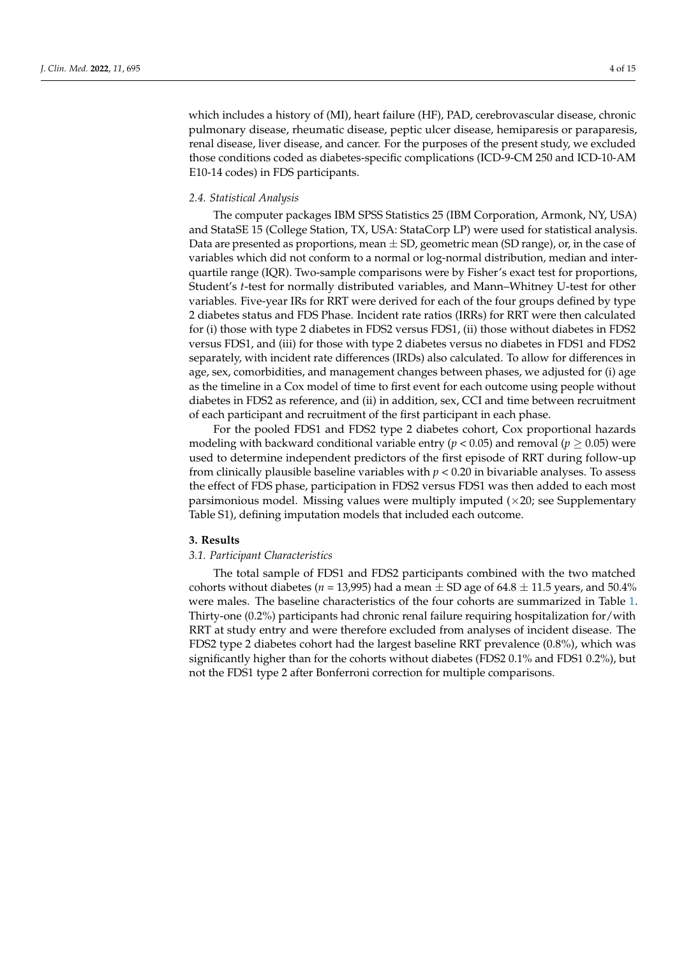which includes a history of (MI), heart failure (HF), PAD, cerebrovascular disease, chronic pulmonary disease, rheumatic disease, peptic ulcer disease, hemiparesis or paraparesis, renal disease, liver disease, and cancer. For the purposes of the present study, we excluded those conditions coded as diabetes-specific complications (ICD-9-CM 250 and ICD-10-AM E10-14 codes) in FDS participants.

## *2.4. Statistical Analysis*

The computer packages IBM SPSS Statistics 25 (IBM Corporation, Armonk, NY, USA) and StataSE 15 (College Station, TX, USA: StataCorp LP) were used for statistical analysis. Data are presented as proportions, mean  $\pm$  SD, geometric mean (SD range), or, in the case of variables which did not conform to a normal or log-normal distribution, median and interquartile range (IQR). Two-sample comparisons were by Fisher's exact test for proportions, Student's *t*-test for normally distributed variables, and Mann–Whitney U-test for other variables. Five-year IRs for RRT were derived for each of the four groups defined by type 2 diabetes status and FDS Phase. Incident rate ratios (IRRs) for RRT were then calculated for (i) those with type 2 diabetes in FDS2 versus FDS1, (ii) those without diabetes in FDS2 versus FDS1, and (iii) for those with type 2 diabetes versus no diabetes in FDS1 and FDS2 separately, with incident rate differences (IRDs) also calculated. To allow for differences in age, sex, comorbidities, and management changes between phases, we adjusted for (i) age as the timeline in a Cox model of time to first event for each outcome using people without diabetes in FDS2 as reference, and (ii) in addition, sex, CCI and time between recruitment of each participant and recruitment of the first participant in each phase.

For the pooled FDS1 and FDS2 type 2 diabetes cohort, Cox proportional hazards modeling with backward conditional variable entry ( $p < 0.05$ ) and removal ( $p \ge 0.05$ ) were used to determine independent predictors of the first episode of RRT during follow-up from clinically plausible baseline variables with *p* < 0.20 in bivariable analyses. To assess the effect of FDS phase, participation in FDS2 versus FDS1 was then added to each most parsimonious model. Missing values were multiply imputed  $(x20)$ ; see Supplementary Table S1), defining imputation models that included each outcome.

## **3. Results**

# *3.1. Participant Characteristics*

The total sample of FDS1 and FDS2 participants combined with the two matched cohorts without diabetes ( $n = 13,995$ ) had a mean  $\pm$  SD age of 64.8  $\pm$  11.5 years, and 50.4% were males. The baseline characteristics of the four cohorts are summarized in Table [1.](#page-5-0) Thirty-one (0.2%) participants had chronic renal failure requiring hospitalization for/with RRT at study entry and were therefore excluded from analyses of incident disease. The FDS2 type 2 diabetes cohort had the largest baseline RRT prevalence (0.8%), which was significantly higher than for the cohorts without diabetes (FDS2 0.1% and FDS1 0.2%), but not the FDS1 type 2 after Bonferroni correction for multiple comparisons.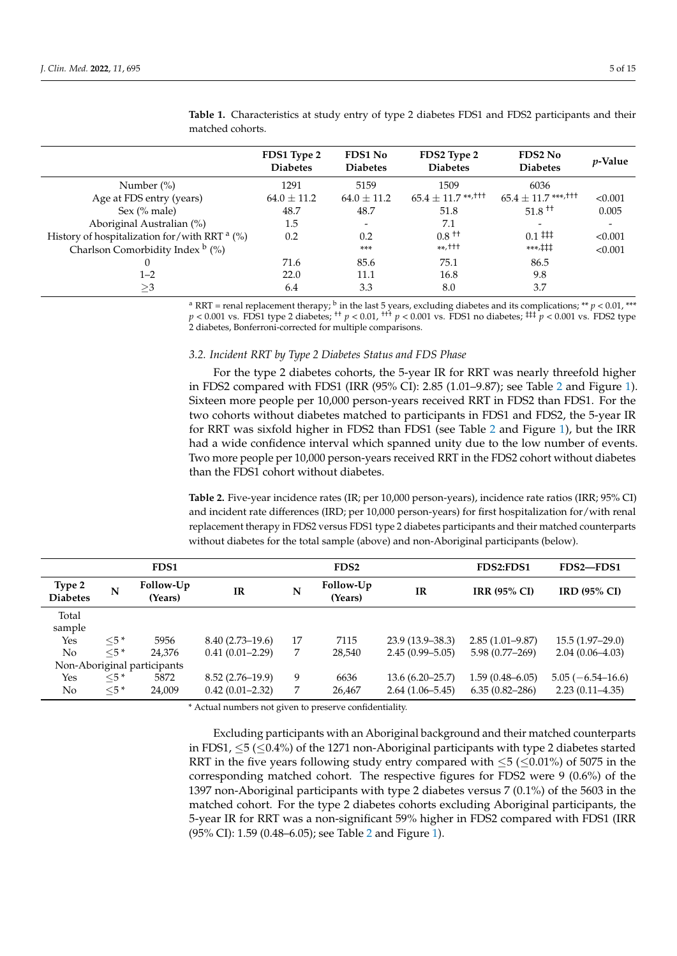|                                                     | FDS1 Type 2<br><b>Diabetes</b> | <b>FDS1 No</b><br><b>Diabetes</b> | FDS2 Type 2<br><b>Diabetes</b>     | <b>FDS2 No</b><br><b>Diabetes</b>   | <i>p</i> -Value |
|-----------------------------------------------------|--------------------------------|-----------------------------------|------------------------------------|-------------------------------------|-----------------|
| Number $(\%)$                                       | 1291                           | 5159                              | 1509                               | 6036                                |                 |
| Age at FDS entry (years)                            | $64.0 \pm 11.2$                | $64.0 \pm 11.2$                   | $65.4 \pm 11.7$ **, <sup>†††</sup> | $65.4 \pm 11.7$ ***, <sup>†††</sup> | < 0.001         |
| Sex $(\%$ male)                                     | 48.7                           | 48.7                              | 51.8                               | $51.8$ <sup>++</sup>                | 0.005           |
| Aboriginal Australian (%)                           | 1.5                            |                                   | 7.1                                |                                     |                 |
| History of hospitalization for/with RRT $a$ (%)     | 0.2                            | 0.2                               | $0.8$ <sup>++</sup>                | $0.1$ ##                            | < 0.001         |
| Charlson Comorbidity Index $\frac{b}{\sqrt{2}}$ (%) |                                | ***                               | $***,$ +++                         | ***,‡‡‡                             | < 0.001         |
|                                                     | 71.6                           | 85.6                              | 75.1                               | 86.5                                |                 |
| $1 - 2$                                             | 22.0                           | 11.1                              | 16.8                               | 9.8                                 |                 |
| $\geq$ 3                                            | 6.4                            | 3.3                               | 8.0                                | 3.7                                 |                 |

<span id="page-5-0"></span>**Table 1.** Characteristics at study entry of type 2 diabetes FDS1 and FDS2 participants and their matched cohorts.

<sup>a</sup> RRT = renal replacement therapy; <sup>b</sup> in the last 5 years, excluding diabetes and its complications; \*\* *p* < 0.01, \*\*\*  $p < 0.001$  vs. FDS1 type 2 diabetes; <sup>††</sup>  $p < 0.01$ , <sup>†††</sup>  $p < 0.001$  vs. FDS1 no diabetes; <sup>‡‡‡</sup>  $p < 0.001$  vs. FDS2 type 2 diabetes, Bonferroni-corrected for multiple comparisons.

#### *3.2. Incident RRT by Type 2 Diabetes Status and FDS Phase*

For the type 2 diabetes cohorts, the 5-year IR for RRT was nearly threefold higher in FDS2 compared with FDS1 (IRR (95% CI): 2.85 (1.01–9.87); see Table [2](#page-5-1) and Figure [1\)](#page-6-0). Sixteen more people per 10,000 person-years received RRT in FDS2 than FDS1. For the two cohorts without diabetes matched to participants in FDS1 and FDS2, the 5-year IR for RRT was sixfold higher in FDS2 than FDS1 (see Table [2](#page-5-1) and Figure [1\)](#page-6-0), but the IRR had a wide confidence interval which spanned unity due to the low number of events. Two more people per 10,000 person-years received RRT in the FDS2 cohort without diabetes than the FDS1 cohort without diabetes.

<span id="page-5-1"></span>**Table 2.** Five-year incidence rates (IR; per 10,000 person-years), incidence rate ratios (IRR; 95% CI) and incident rate differences (IRD; per 10,000 person-years) for first hospitalization for/with renal replacement therapy in FDS2 versus FDS1 type 2 diabetes participants and their matched counterparts without diabetes for the total sample (above) and non-Aboriginal participants (below).

|                           |           | FDS1                        |                     |    | FDS <sub>2</sub>     |                     | FDS2:FDS1           | FDS2-FDS1           |
|---------------------------|-----------|-----------------------------|---------------------|----|----------------------|---------------------|---------------------|---------------------|
| Type 2<br><b>Diabetes</b> | N         | Follow-Up<br>(Years)        | <b>IR</b>           | N  | Follow-Up<br>(Years) | IR                  | <b>IRR (95% CI)</b> | <b>IRD (95% CI)</b> |
| Total<br>sample           |           |                             |                     |    |                      |                     |                     |                     |
| Yes                       | $<$ 5 *   | 5956                        | $8.40(2.73 - 19.6)$ | 17 | 7115                 | $23.9(13.9 - 38.3)$ | $2.85(1.01 - 9.87)$ | $15.5(1.97-29.0)$   |
| N <sub>o</sub>            | $<$ 5 $*$ | 24,376                      | $0.41(0.01 - 2.29)$ | 7  | 28,540               | $2.45(0.99 - 5.05)$ | $5.98(0.77-269)$    | $2.04(0.06 - 4.03)$ |
|                           |           | Non-Aboriginal participants |                     |    |                      |                     |                     |                     |
| Yes                       | $<$ 5 $*$ | 5872                        | $8.52(2.76 - 19.9)$ | 9  | 6636                 | $13.6(6.20 - 25.7)$ | $1.59(0.48 - 6.05)$ | $5.05(-6.54-16.6)$  |
| No                        | $<$ 5 $*$ | 24,009                      | $0.42(0.01 - 2.32)$ | 7  | 26,467               | $2.64(1.06 - 5.45)$ | $6.35(0.82 - 286)$  | $2.23(0.11-4.35)$   |

\* Actual numbers not given to preserve confidentiality.

Excluding participants with an Aboriginal background and their matched counterparts in FDS1,  $\leq$ 5 ( $\leq$ 0.4%) of the 1271 non-Aboriginal participants with type 2 diabetes started RRT in the five years following study entry compared with  $\leq$  5 ( $\leq$  0.01%) of 5075 in the corresponding matched cohort. The respective figures for FDS2 were 9 (0.6%) of the 1397 non-Aboriginal participants with type 2 diabetes versus 7 (0.1%) of the 5603 in the matched cohort. For the type 2 diabetes cohorts excluding Aboriginal participants, the 5-year IR for RRT was a non-significant 59% higher in FDS2 compared with FDS1 (IRR (95% CI): 1.59 (0.48–6.05); see Table [2](#page-5-1) and Figure [1\)](#page-6-0).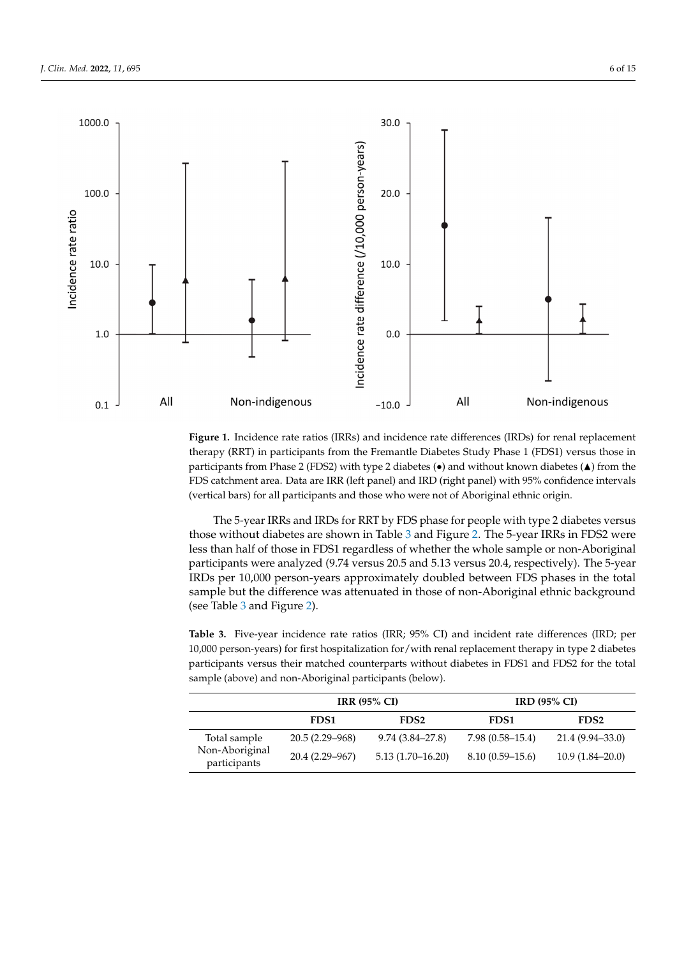<span id="page-6-0"></span>

therapy (RRT) in participants from the Fremantle Diabetes Study Phase 1 (FDS1) versus those in participants from Phase 2 (FDS2) with type 2 diabetes  $\left(\bullet\right)$  and without known diabetes  $\left(\blacktriangle\right)$  from the FDS catchment area. Data are IRR (left panel) and IRD (right panel) with 95% confidence intervals (vertical bars) for all participants and those who were not of Aboriginal ethnic origin.  $\mathcal{C}$  barsh for all participants and those who were not of  $\mathcal{C}$ **Figure 1.** Incidence rate ratios (IRRs) and incidence rate differences (IRDs) for renal replacement

those without diabetes are shown in Table 3 and Figure [2.](#page-7-0) The 5-year IRRs in FDS2 were less than half of those in FDS1 regardless of whether the whole sample or non-Aboriginal participants were analyzed (9.74 versus 20.5 and 5.13 versus 20.4, respectively). The 5-year IRDs per 10,000 person-years approximately doubled between FDS phases in the total sample but the difference was attenuated in those of non-Aboriginal ethnic background (see Table 3 and Figure 2). The 5-year IRRs and IRDs for RRT by FDS phase for people with type 2 diabetes versus

<span id="page-6-1"></span>Table 3. Five-year incidence rate ratios (IRR; 95% CI) and incident rate differences (IRD; per 10,000 person-years) for first hospitalization for/with renal replacement therapy in type 2 diabetes participants versus their matched counterparts without diabetes in FDS1 and FDS2 for the total sample (above) and non-Aboriginal participants (below).

|                                |                    | <b>IRR (95% CI)</b>  | <b>IRD (95% CI)</b> |                     |  |
|--------------------------------|--------------------|----------------------|---------------------|---------------------|--|
|                                | FDS <sub>1</sub>   | FDS <sub>2</sub>     | FDS <sub>1</sub>    | FDS <sub>2</sub>    |  |
| Total sample                   | $20.5(2.29 - 968)$ | $9.74(3.84 - 27.8)$  | $7.98(0.58 - 15.4)$ | 21.4 (9.94–33.0)    |  |
| Non-Aboriginal<br>participants | 20.4 (2.29–967)    | $5.13(1.70 - 16.20)$ | $8.10(0.59 - 15.6)$ | $10.9(1.84 - 20.0)$ |  |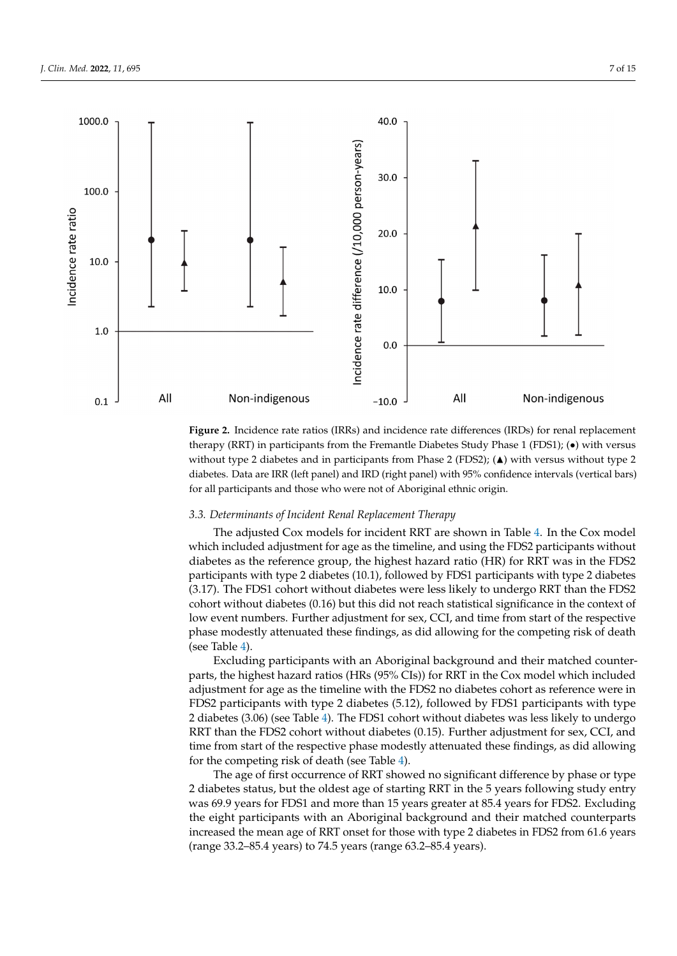<span id="page-7-0"></span>

therapy (RRT) in participants from the Fremantle Diabetes Study Phase 1 (FDS1); (•) with versus without type 2 diabetes and in participants from Phase 2 (FDS2); ( $\blacktriangle$ ) with versus without type 2 diabetes. Data are IRR (left panel) and IRD (right panel) with 95% confidence intervals (vertical bars) for all participants and those who were not of Aboriginal ethnic origin. **Figure 2.** Incidence rate ratios (IRRs) and incidence rate differences (IRDs) for renal replacement

#### *3.3. Determinants of Incident Renal Replacement Therapy*

The adjusted Cox models for incident RRT are shown in Table [4.](#page-8-0) In the Cox model which included adjustment for age as the timeline, and using the FDS2 participants without  $p_{\text{in}}$  and  $p_{\text{in}}$  matched counterparts with diabetes in FDS1 and  $p_{\text{in}}$  and  $p_{\text{in}}$  for  $p_{\text{in}}$  for  $p_{\text{in}}$  for  $p_{\text{in}}$  for  $p_{\text{in}}$  for  $p_{\text{in}}$  for  $p_{\text{in}}$  for  $p_{\text{in}}$  for  $p_{\text{in}}$  for  $p_{\text{in}}$  diabetes as the reference group, the highest hazard ratio (HR) for RRT was in the FDS2 (3.17). The FDS1 cohort without diabetes were less likely to undergo RRT than the FDS2 cohort without diabetes (0.16) but this did not reach statistical significance in the context of low event numbers. Further adjustment for sex, CCI, and time from start of the respective phase modestly attenuated these findings, as did allowing for the competing risk of death participants with type 2 diabetes (10.1), followed by FDS1 participants with type 2 diabetes (see Table [4\)](#page-8-0).

> *3.3. Determinants of Incident Renal Replacement Therapy*  parts, the highest hazard ratios (HRs (95% CIs)) for RRT in the Cox model which included adjustment for age as the timeline with the FDS2 no diabetes cohort as reference were in FDS2 participants with type 2 diabetes (5.12), followed by FDS1 participants with type 2 diabetes (3.06) (see Table [4\)](#page-8-0). The FDS1 cohort without diabetes was less likely to undergo RRT than the FDS2 cohort without diabetes (0.15). Further adjustment for sex, CCI, and time from start of the respective phase modestly attenuated these findings, as did allowing for [th](#page-8-0)e competing risk of death (see Table 4). Excluding participants with an Aboriginal background and their matched counter-

> The age of first occurrence of RRT showed no significant difference by phase or type 2 diabetes status, but the oldest age of starting RRT in the 5 years following study entry was 69.9 years for FDS1 and more than 15 years greater at 85.4 years for FDS2. Excluding the eight participants with an Aboriginal background and their matched counterparts increased the mean age of RRT onset for those with type 2 diabetes in FDS2 from 61.6 years (range 33.2–85.4 years) to 74.5 years (range 63.2–85.4 years).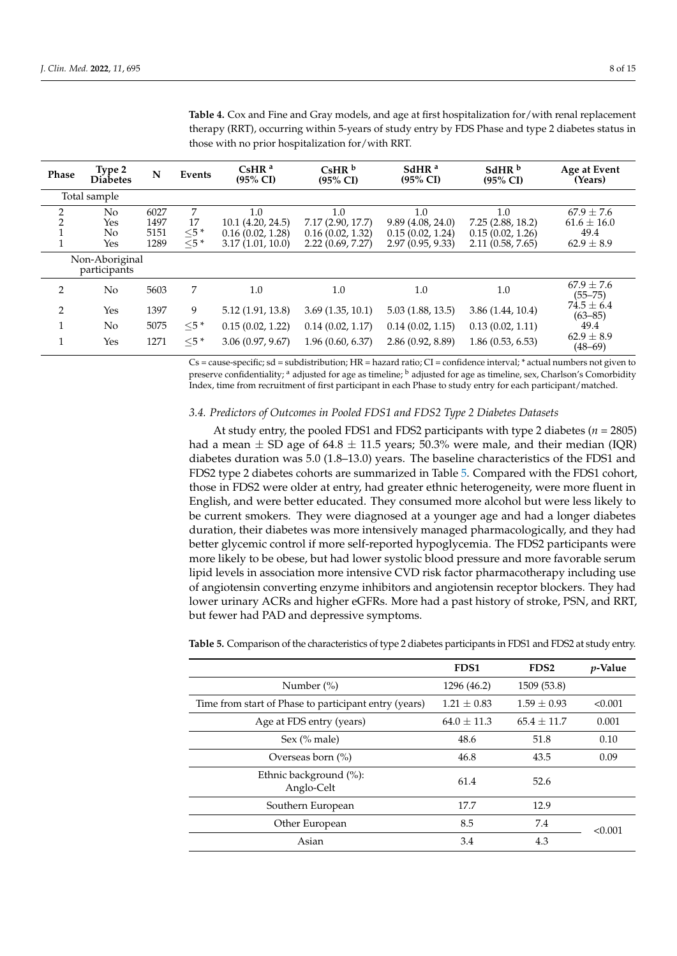| Phase               | Type 2<br><b>Diabetes</b>          | N                            | Events                          | CsHR <sup>a</sup><br>$(95\% \text{ CI})$                         | $CshR^b$<br>$(95\% \text{ CI})$                                  | SdHR <sup>a</sup><br>$(95\% \text{ CI})$                        | SdHR <sup>b</sup><br>$(95\% \text{ CI})$                        | Age at Event<br>(Years)                                     |
|---------------------|------------------------------------|------------------------------|---------------------------------|------------------------------------------------------------------|------------------------------------------------------------------|-----------------------------------------------------------------|-----------------------------------------------------------------|-------------------------------------------------------------|
|                     | Total sample                       |                              |                                 |                                                                  |                                                                  |                                                                 |                                                                 |                                                             |
| 2<br>$\overline{2}$ | N <sub>0</sub><br>Yes<br>No<br>Yes | 6027<br>1497<br>5151<br>1289 | 7<br>17<br>$\leq 5$ *<br>$<5$ * | 1.0<br>10.1 (4.20, 24.5)<br>0.16(0.02, 1.28)<br>3.17(1.01, 10.0) | 1.0<br>7.17 (2.90, 17.7)<br>0.16(0.02, 1.32)<br>2.22(0.69, 7.27) | 1.0<br>9.89(4.08, 24.0)<br>0.15(0.02, 1.24)<br>2.97(0.95, 9.33) | 1.0<br>7.25(2.88, 18.2)<br>0.15(0.02, 1.26)<br>2.11(0.58, 7.65) | $67.9 \pm 7.6$<br>$61.6 \pm 16.0$<br>49.4<br>$62.9 \pm 8.9$ |
|                     | Non-Aboriginal<br>participants     |                              |                                 |                                                                  |                                                                  |                                                                 |                                                                 |                                                             |
| 2                   | No                                 | 5603                         | 7                               | 1.0                                                              | 1.0                                                              | 1.0                                                             | $1.0\,$                                                         | $67.9 \pm 7.6$<br>$(55 - 75)$                               |
| 2                   | Yes                                | 1397                         | 9                               | 5.12 (1.91, 13.8)                                                | 3.69(1.35, 10.1)                                                 | 5.03(1.88, 13.5)                                                | 3.86(1.44, 10.4)                                                | $74.5 \pm 6.4$<br>$(63 - 85)$                               |
| 1                   | No                                 | 5075                         | $\leq 5$ *                      | 0.15(0.02, 1.22)                                                 | 0.14(0.02, 1.17)                                                 | 0.14(0.02, 1.15)                                                | 0.13(0.02, 1.11)                                                | 49.4                                                        |
| $\mathbf{1}$        | Yes                                | 1271                         | $<$ 5 $*$                       | 3.06(0.97, 9.67)                                                 | 1.96(0.60, 6.37)                                                 | 2.86(0.92, 8.89)                                                | 1.86(0.53, 6.53)                                                | $62.9 \pm 8.9$<br>$(48 - 69)$                               |

<span id="page-8-0"></span>**Table 4.** Cox and Fine and Gray models, and age at first hospitalization for/with renal replacement therapy (RRT), occurring within 5-years of study entry by FDS Phase and type 2 diabetes status in those with no prior hospitalization for/with RRT.

Cs = cause-specific; sd = subdistribution; HR = hazard ratio; CI = confidence interval; \* actual numbers not given to preserve confidentiality; <sup>a</sup> adjusted for age as timeline; <sup>b</sup> adjusted for age as timeline, sex, Charlson's Comorbidity Index, time from recruitment of first participant in each Phase to study entry for each participant/matched.

#### *3.4. Predictors of Outcomes in Pooled FDS1 and FDS2 Type 2 Diabetes Datasets*

At study entry, the pooled FDS1 and FDS2 participants with type 2 diabetes (*n* = 2805) had a mean  $\pm$  SD age of 64.8  $\pm$  11.5 years; 50.3% were male, and their median (IQR) diabetes duration was 5.0 (1.8–13.0) years. The baseline characteristics of the FDS1 and FDS2 type 2 diabetes cohorts are summarized in Table [5.](#page-8-1) Compared with the FDS1 cohort, those in FDS2 were older at entry, had greater ethnic heterogeneity, were more fluent in English, and were better educated. They consumed more alcohol but were less likely to be current smokers. They were diagnosed at a younger age and had a longer diabetes duration, their diabetes was more intensively managed pharmacologically, and they had better glycemic control if more self-reported hypoglycemia. The FDS2 participants were more likely to be obese, but had lower systolic blood pressure and more favorable serum lipid levels in association more intensive CVD risk factor pharmacotherapy including use of angiotensin converting enzyme inhibitors and angiotensin receptor blockers. They had lower urinary ACRs and higher eGFRs. More had a past history of stroke, PSN, and RRT, but fewer had PAD and depressive symptoms.

|                                                       | FDS1            | FDS <sub>2</sub> | <i>p</i> -Value |
|-------------------------------------------------------|-----------------|------------------|-----------------|
| Number $(\%)$                                         | 1296 (46.2)     | 1509 (53.8)      |                 |
| Time from start of Phase to participant entry (years) | $1.21 \pm 0.83$ | $1.59 \pm 0.93$  | < 0.001         |
| Age at FDS entry (years)                              | $64.0 \pm 11.3$ | $65.4 + 11.7$    | 0.001           |
| Sex $(\%$ male)                                       | 48.6            | 51.8             | 0.10            |
| Overseas born (%)                                     | 46.8            | 43.5             | 0.09            |
| Ethnic background (%):<br>Anglo-Celt                  | 61.4            | 52.6             |                 |
| Southern European                                     | 17.7            | 12.9             |                 |
| Other European                                        | 8.5             | 7.4              | < 0.001         |
| Asian                                                 | 3.4             | 4.3              |                 |

<span id="page-8-1"></span>**Table 5.** Comparison of the characteristics of type 2 diabetes participants in FDS1 and FDS2 at study entry.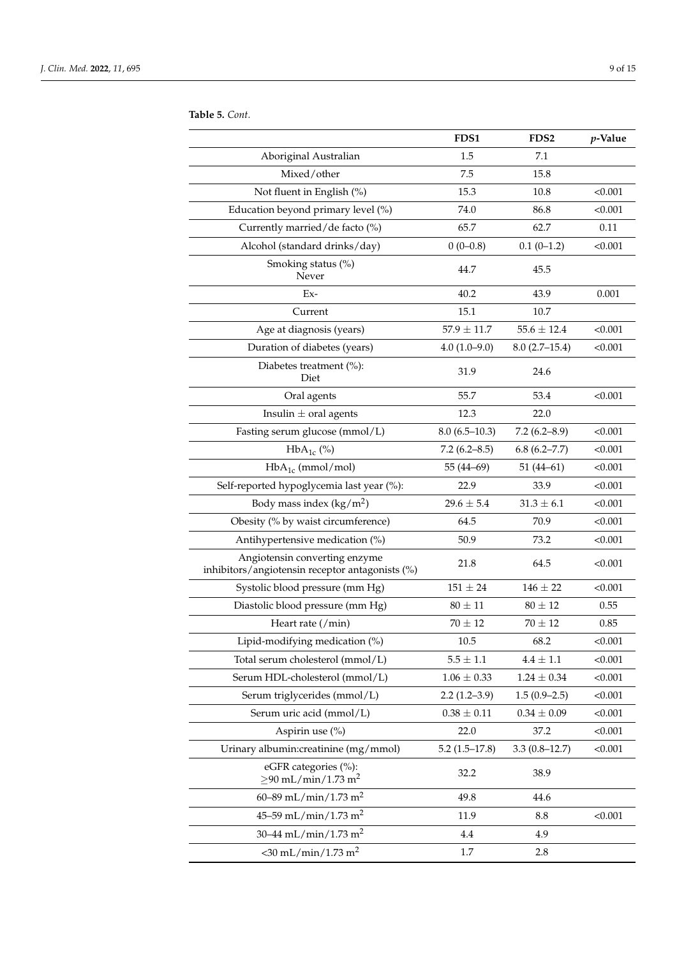|                                                                                  | FDS1              | FDS <sub>2</sub> | p-Value |
|----------------------------------------------------------------------------------|-------------------|------------------|---------|
| Aboriginal Australian                                                            | 1.5               | 7.1              |         |
| Mixed/other                                                                      | 7.5               | 15.8             |         |
| Not fluent in English (%)                                                        | 15.3              | 10.8             | < 0.001 |
| Education beyond primary level (%)                                               | 74.0              | 86.8             | < 0.001 |
| Currently married/de facto (%)                                                   | 65.7              | 62.7             | 0.11    |
| Alcohol (standard drinks/day)                                                    | $0(0-0.8)$        | $0.1(0-1.2)$     | < 0.001 |
| Smoking status (%)<br>Never                                                      | 44.7              | 45.5             |         |
| Ex-                                                                              | 40.2              | 43.9             | 0.001   |
| Current                                                                          | 15.1              | 10.7             |         |
| Age at diagnosis (years)                                                         | $57.9 \pm 11.7$   | $55.6 \pm 12.4$  | < 0.001 |
| Duration of diabetes (years)                                                     | $4.0(1.0-9.0)$    | $8.0(2.7-15.4)$  | < 0.001 |
| Diabetes treatment $(\%):$<br>Diet                                               | 31.9              | 24.6             |         |
| Oral agents                                                                      | 55.7              | 53.4             | < 0.001 |
| Insulin $\pm$ oral agents                                                        | 12.3              | 22.0             |         |
| Fasting serum glucose (mmol/L)                                                   | $8.0(6.5-10.3)$   | $7.2(6.2 - 8.9)$ | < 0.001 |
| $HbA_{1c}$ (%)                                                                   | $7.2(6.2 - 8.5)$  | 6.8(6.2–7.7)     | < 0.001 |
| $HbA_{1c}$ (mmol/mol)                                                            | 55 (44-69)        | $51(44-61)$      | < 0.001 |
| Self-reported hypoglycemia last year (%):                                        | 22.9              | 33.9             | < 0.001 |
| Body mass index $(kg/m2)$                                                        | $29.6 \pm 5.4$    | $31.3 \pm 6.1$   | < 0.001 |
| Obesity (% by waist circumference)                                               | 64.5              | 70.9             | < 0.001 |
| Antihypertensive medication (%)                                                  | 50.9              | 73.2             | < 0.001 |
| Angiotensin converting enzyme<br>inhibitors/angiotensin receptor antagonists (%) | 21.8              | 64.5             | < 0.001 |
| Systolic blood pressure (mm Hg)                                                  | $151 \pm 24$      | $146 \pm 22$     | < 0.001 |
| Diastolic blood pressure (mm Hg)                                                 | $80 \pm 11$       | $80 \pm 12$      | 0.55    |
| Heart rate (/min)                                                                | $70 \pm 12$       | $70 \pm 12$      | 0.85    |
| Lipid-modifying medication (%)                                                   | 10.5              | 68.2             | < 0.001 |
| Total serum cholesterol (mmol/L)                                                 | $5.5$ $\pm$ $1.1$ | $4.4\,\pm\,1.1$  | < 0.001 |
| Serum HDL-cholesterol (mmol/L)                                                   | $1.06 \pm 0.33$   | $1.24\pm0.34$    | < 0.001 |
| Serum triglycerides (mmol/L)                                                     | $2.2(1.2-3.9)$    | $1.5(0.9-2.5)$   | < 0.001 |
| Serum uric acid (mmol/L)                                                         | $0.38 \pm 0.11$   | $0.34\pm0.09$    | < 0.001 |
| Aspirin use (%)                                                                  | 22.0              | 37.2             | < 0.001 |
| Urinary albumin: creatinine (mg/mmol)                                            | $5.2(1.5-17.8)$   | $3.3(0.8-12.7)$  | < 0.001 |
| eGFR categories (%):<br>$\geq$ 90 mL/min/1.73 m <sup>2</sup>                     | 32.2              | 38.9             |         |
| 60–89 mL/min/1.73 m <sup>2</sup>                                                 | 49.8              | 44.6             |         |
| 45–59 mL/min/1.73 m <sup>2</sup>                                                 | 11.9              | 8.8              | < 0.001 |
| 30–44 mL/min/1.73 m <sup>2</sup>                                                 | 4.4               | 4.9              |         |
| $<$ 30 mL/min/1.73 m <sup>2</sup>                                                | 1.7               | 2.8              |         |

**Table 5.** *Cont.*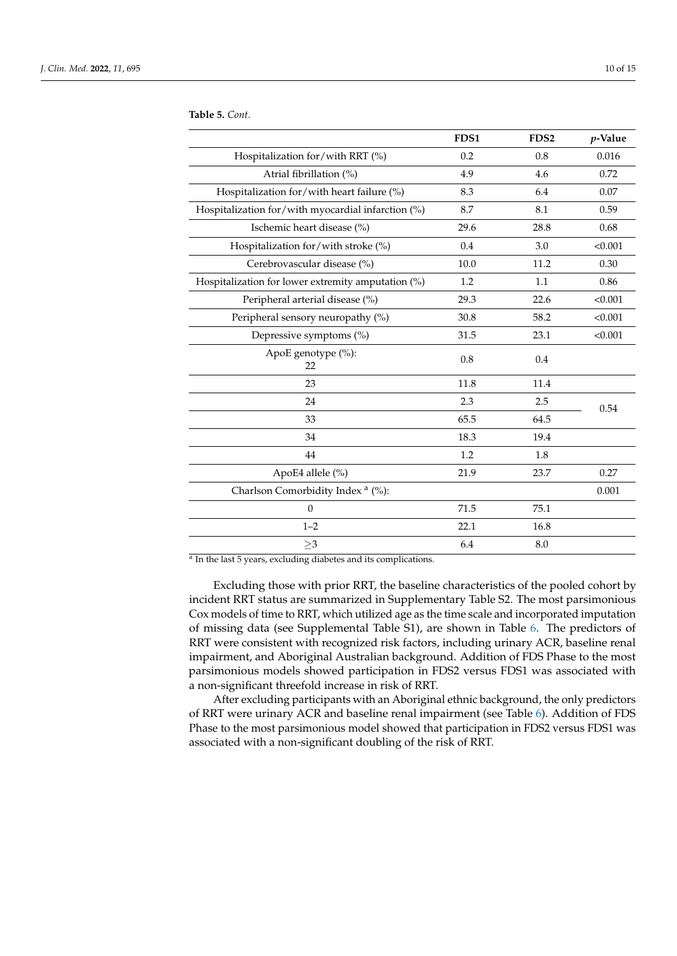|                                                    | FDS1 | FDS <sub>2</sub> | p-Value |
|----------------------------------------------------|------|------------------|---------|
| Hospitalization for/with RRT (%)                   | 0.2  | 0.8              | 0.016   |
| Atrial fibrillation (%)                            | 4.9  | 4.6              | 0.72    |
| Hospitalization for/with heart failure (%)         | 8.3  | 6.4              | 0.07    |
| Hospitalization for/with myocardial infarction (%) | 8.7  | 8.1              | 0.59    |
| Ischemic heart disease (%)                         | 29.6 | 28.8             | 0.68    |
| Hospitalization for/with stroke (%)                | 0.4  | 3.0              | < 0.001 |
| Cerebrovascular disease (%)                        | 10.0 | 11.2             | 0.30    |
| Hospitalization for lower extremity amputation (%) | 1.2  | 1.1              | 0.86    |
| Peripheral arterial disease (%)                    | 29.3 | 22.6             | < 0.001 |
| Peripheral sensory neuropathy (%)                  | 30.8 | 58.2             | < 0.001 |
| Depressive symptoms (%)                            | 31.5 | 23.1             | < 0.001 |
| ApoE genotype (%):<br>22                           | 0.8  | 0.4              |         |
| 23                                                 | 11.8 | 11.4             |         |
| 24                                                 | 2.3  | 2.5              | 0.54    |
| 33                                                 | 65.5 | 64.5             |         |
| 34                                                 | 18.3 | 19.4             |         |
| 44                                                 | 1.2  | 1.8              |         |
| ApoE4 allele (%)                                   | 21.9 | 23.7             | 0.27    |
| Charlson Comorbidity Index <sup>a</sup> (%):       |      |                  | 0.001   |
| $\mathbf{0}$                                       | 71.5 | 75.1             |         |
| $1 - 2$                                            | 22.1 | 16.8             |         |
| ${\geq}3$                                          | 6.4  | 8.0              |         |

**Table 5.** *Cont.*

<sup>a</sup> In the last 5 years, excluding diabetes and its complications.

Excluding those with prior RRT, the baseline characteristics of the pooled cohort by incident RRT status are summarized in Supplementary Table S2. The most parsimonious Cox models of time to RRT, which utilized age as the time scale and incorporated imputation of missing data (see Supplemental Table S1), are shown in Table [6.](#page-11-0) The predictors of RRT were consistent with recognized risk factors, including urinary ACR, baseline renal impairment, and Aboriginal Australian background. Addition of FDS Phase to the most parsimonious models showed participation in FDS2 versus FDS1 was associated with a non-significant threefold increase in risk of RRT.

After excluding participants with an Aboriginal ethnic background, the only predictors of RRT were urinary ACR and baseline renal impairment (see Table [6\)](#page-11-0). Addition of FDS Phase to the most parsimonious model showed that participation in FDS2 versus FDS1 was associated with a non-significant doubling of the risk of RRT.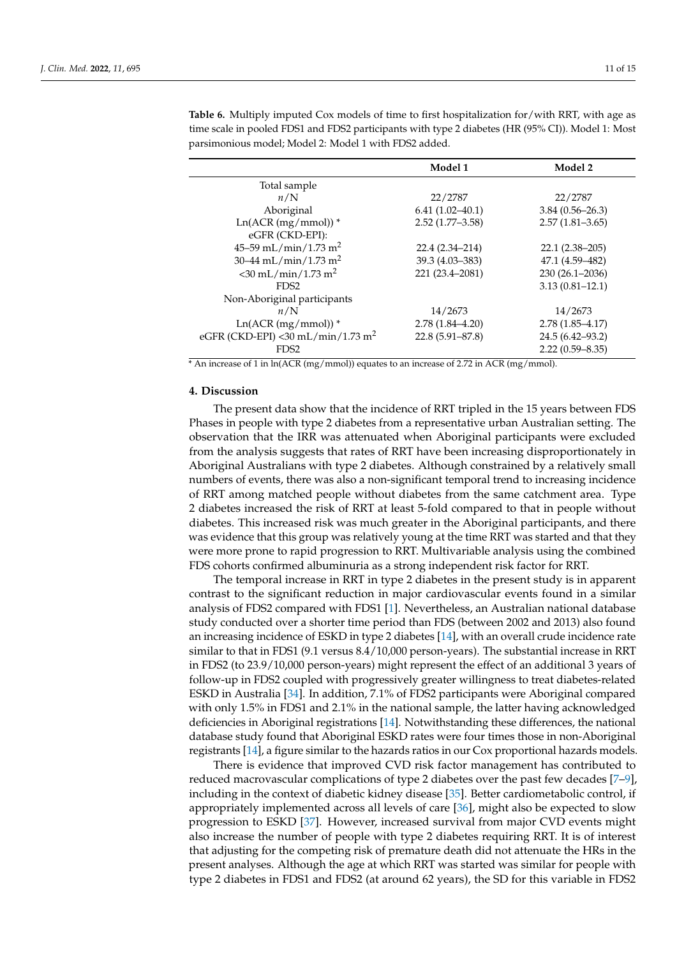|                                               | Model 1             | Model 2             |
|-----------------------------------------------|---------------------|---------------------|
| Total sample                                  |                     |                     |
| n/N                                           | 22/2787             | 22/2787             |
| Aboriginal                                    | $6.41(1.02 - 40.1)$ | $3.84(0.56 - 26.3)$ |
| $Ln(ACR (mg/mmo))$ *                          | $2.52(1.77-3.58)$   | $2.57(1.81 - 3.65)$ |
| eGFR (CKD-EPI):                               |                     |                     |
| 45–59 mL/min/1.73 m <sup>2</sup>              | 22.4 (2.34–214)     | $22.1(2.38-205)$    |
| 30–44 mL/min/1.73 m <sup>2</sup>              | 39.3 (4.03-383)     | 47.1 (4.59-482)     |
| $<$ 30 mL/min/1.73 m <sup>2</sup>             | 221 (23.4-2081)     | 230 (26.1-2036)     |
| FDS <sub>2</sub>                              |                     | $3.13(0.81 - 12.1)$ |
| Non-Aboriginal participants                   |                     |                     |
| n/N                                           | 14/2673             | 14/2673             |
| $Ln(ACR (mg/mmo))$ <sup>*</sup>               | $2.78(1.84 - 4.20)$ | $2.78(1.85 - 4.17)$ |
| eGFR (CKD-EPI) <30 mL/min/1.73 m <sup>2</sup> | $22.8(5.91 - 87.8)$ | 24.5 (6.42–93.2)    |
| FDS <sub>2</sub>                              |                     | $2.22(0.59 - 8.35)$ |

<span id="page-11-0"></span>time scale in pooled FDS1 and FDS2 participants with type 2 diabetes (HR (95% CI)). Model 1: Most parsimonious model; Model 2: Model 1 with FDS2 added.

\* An increase of 1 in ln(ACR (mg/mmol)) equates to an increase of 2.72 in ACR (mg/mmol).

## **4. Discussion**

The present data show that the incidence of RRT tripled in the 15 years between FDS Phases in people with type 2 diabetes from a representative urban Australian setting. The observation that the IRR was attenuated when Aboriginal participants were excluded from the analysis suggests that rates of RRT have been increasing disproportionately in Aboriginal Australians with type 2 diabetes. Although constrained by a relatively small numbers of events, there was also a non-significant temporal trend to increasing incidence of RRT among matched people without diabetes from the same catchment area. Type 2 diabetes increased the risk of RRT at least 5-fold compared to that in people without diabetes. This increased risk was much greater in the Aboriginal participants, and there was evidence that this group was relatively young at the time RRT was started and that they were more prone to rapid progression to RRT. Multivariable analysis using the combined FDS cohorts confirmed albuminuria as a strong independent risk factor for RRT.

The temporal increase in RRT in type 2 diabetes in the present study is in apparent contrast to the significant reduction in major cardiovascular events found in a similar analysis of FDS2 compared with FDS1 [\[1\]](#page-13-0). Nevertheless, an Australian national database study conducted over a shorter time period than FDS (between 2002 and 2013) also found an increasing incidence of ESKD in type 2 diabetes [\[14\]](#page-14-1), with an overall crude incidence rate similar to that in FDS1 (9.1 versus 8.4/10,000 person-years). The substantial increase in RRT in FDS2 (to 23.9/10,000 person-years) might represent the effect of an additional 3 years of follow-up in FDS2 coupled with progressively greater willingness to treat diabetes-related ESKD in Australia [\[34\]](#page-14-17). In addition, 7.1% of FDS2 participants were Aboriginal compared with only 1.5% in FDS1 and 2.1% in the national sample, the latter having acknowledged deficiencies in Aboriginal registrations [\[14\]](#page-14-1). Notwithstanding these differences, the national database study found that Aboriginal ESKD rates were four times those in non-Aboriginal registrants [\[14\]](#page-14-1), a figure similar to the hazards ratios in our Cox proportional hazards models.

There is evidence that improved CVD risk factor management has contributed to reduced macrovascular complications of type 2 diabetes over the past few decades [\[7–](#page-13-4)[9\]](#page-13-5), including in the context of diabetic kidney disease [\[35\]](#page-14-18). Better cardiometabolic control, if appropriately implemented across all levels of care [\[36\]](#page-15-0), might also be expected to slow progression to ESKD [\[37\]](#page-15-1). However, increased survival from major CVD events might also increase the number of people with type 2 diabetes requiring RRT. It is of interest that adjusting for the competing risk of premature death did not attenuate the HRs in the present analyses. Although the age at which RRT was started was similar for people with type 2 diabetes in FDS1 and FDS2 (at around 62 years), the SD for this variable in FDS2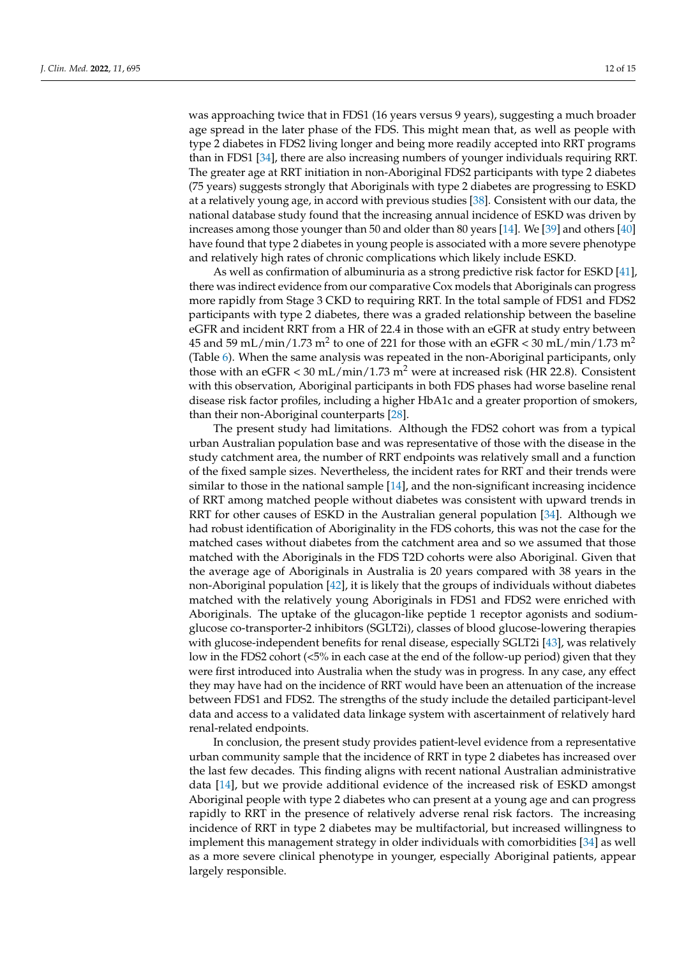was approaching twice that in FDS1 (16 years versus 9 years), suggesting a much broader age spread in the later phase of the FDS. This might mean that, as well as people with type 2 diabetes in FDS2 living longer and being more readily accepted into RRT programs than in FDS1 [\[34\]](#page-14-17), there are also increasing numbers of younger individuals requiring RRT. The greater age at RRT initiation in non-Aboriginal FDS2 participants with type 2 diabetes (75 years) suggests strongly that Aboriginals with type 2 diabetes are progressing to ESKD at a relatively young age, in accord with previous studies [\[38\]](#page-15-2). Consistent with our data, the national database study found that the increasing annual incidence of ESKD was driven by increases among those younger than 50 and older than 80 years [\[14\]](#page-14-1). We [\[39\]](#page-15-3) and others [\[40\]](#page-15-4) have found that type 2 diabetes in young people is associated with a more severe phenotype and relatively high rates of chronic complications which likely include ESKD.

As well as confirmation of albuminuria as a strong predictive risk factor for ESKD [\[41\]](#page-15-5), there was indirect evidence from our comparative Cox models that Aboriginals can progress more rapidly from Stage 3 CKD to requiring RRT. In the total sample of FDS1 and FDS2 participants with type 2 diabetes, there was a graded relationship between the baseline eGFR and incident RRT from a HR of 22.4 in those with an eGFR at study entry between  $45$  and  $59$  mL/min/ $1.73$  m $^2$  to one of 221 for those with an eGFR  $<$  30 mL/min/ $1.73$  m $^2$ (Table [6\)](#page-11-0). When the same analysis was repeated in the non-Aboriginal participants, only those with an eGFR  $<$  30 mL/min/1.73 m<sup>2</sup> were at increased risk (HR 22.8). Consistent with this observation, Aboriginal participants in both FDS phases had worse baseline renal disease risk factor profiles, including a higher HbA1c and a greater proportion of smokers, than their non-Aboriginal counterparts [\[28\]](#page-14-11).

The present study had limitations. Although the FDS2 cohort was from a typical urban Australian population base and was representative of those with the disease in the study catchment area, the number of RRT endpoints was relatively small and a function of the fixed sample sizes. Nevertheless, the incident rates for RRT and their trends were similar to those in the national sample [\[14\]](#page-14-1), and the non-significant increasing incidence of RRT among matched people without diabetes was consistent with upward trends in RRT for other causes of ESKD in the Australian general population [\[34\]](#page-14-17). Although we had robust identification of Aboriginality in the FDS cohorts, this was not the case for the matched cases without diabetes from the catchment area and so we assumed that those matched with the Aboriginals in the FDS T2D cohorts were also Aboriginal. Given that the average age of Aboriginals in Australia is 20 years compared with 38 years in the non-Aboriginal population [\[42\]](#page-15-6), it is likely that the groups of individuals without diabetes matched with the relatively young Aboriginals in FDS1 and FDS2 were enriched with Aboriginals. The uptake of the glucagon-like peptide 1 receptor agonists and sodiumglucose co-transporter-2 inhibitors (SGLT2i), classes of blood glucose-lowering therapies with glucose-independent benefits for renal disease, especially SGLT2i [\[43\]](#page-15-7), was relatively low in the FDS2 cohort (<5% in each case at the end of the follow-up period) given that they were first introduced into Australia when the study was in progress. In any case, any effect they may have had on the incidence of RRT would have been an attenuation of the increase between FDS1 and FDS2. The strengths of the study include the detailed participant-level data and access to a validated data linkage system with ascertainment of relatively hard renal-related endpoints.

In conclusion, the present study provides patient-level evidence from a representative urban community sample that the incidence of RRT in type 2 diabetes has increased over the last few decades. This finding aligns with recent national Australian administrative data [\[14\]](#page-14-1), but we provide additional evidence of the increased risk of ESKD amongst Aboriginal people with type 2 diabetes who can present at a young age and can progress rapidly to RRT in the presence of relatively adverse renal risk factors. The increasing incidence of RRT in type 2 diabetes may be multifactorial, but increased willingness to implement this management strategy in older individuals with comorbidities [\[34\]](#page-14-17) as well as a more severe clinical phenotype in younger, especially Aboriginal patients, appear largely responsible.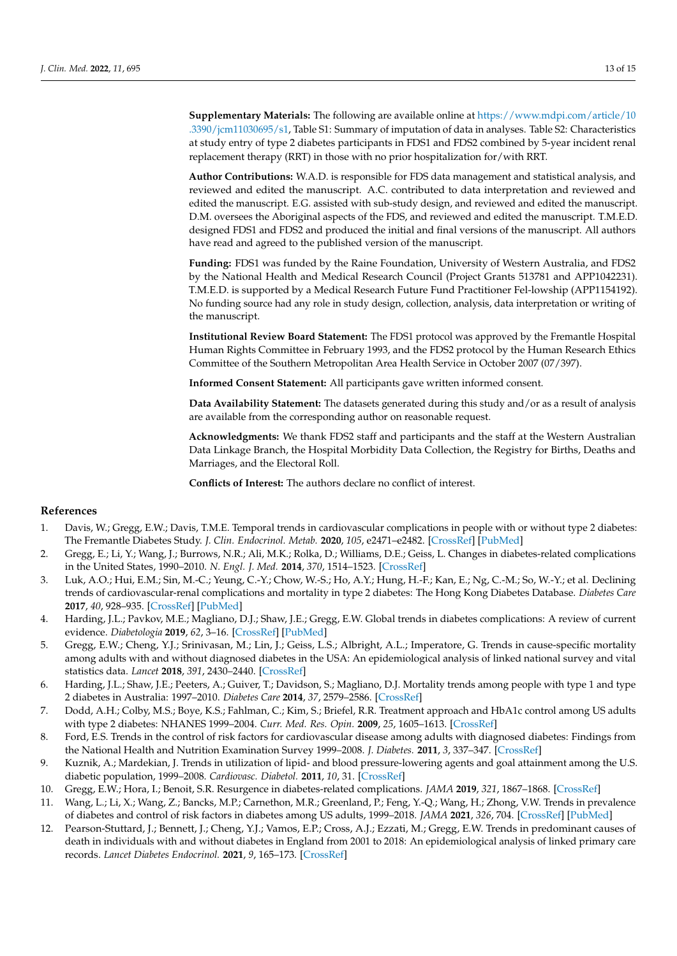**Supplementary Materials:** The following are available online at [https://www.mdpi.com/article/10](https://www.mdpi.com/article/10.3390/jcm11030695/s1) [.3390/jcm11030695/s1,](https://www.mdpi.com/article/10.3390/jcm11030695/s1) Table S1: Summary of imputation of data in analyses. Table S2: Characteristics at study entry of type 2 diabetes participants in FDS1 and FDS2 combined by 5-year incident renal replacement therapy (RRT) in those with no prior hospitalization for/with RRT.

**Author Contributions:** W.A.D. is responsible for FDS data management and statistical analysis, and reviewed and edited the manuscript. A.C. contributed to data interpretation and reviewed and edited the manuscript. E.G. assisted with sub-study design, and reviewed and edited the manuscript. D.M. oversees the Aboriginal aspects of the FDS, and reviewed and edited the manuscript. T.M.E.D. designed FDS1 and FDS2 and produced the initial and final versions of the manuscript. All authors have read and agreed to the published version of the manuscript.

**Funding:** FDS1 was funded by the Raine Foundation, University of Western Australia, and FDS2 by the National Health and Medical Research Council (Project Grants 513781 and APP1042231). T.M.E.D. is supported by a Medical Research Future Fund Practitioner Fel-lowship (APP1154192). No funding source had any role in study design, collection, analysis, data interpretation or writing of the manuscript.

**Institutional Review Board Statement:** The FDS1 protocol was approved by the Fremantle Hospital Human Rights Committee in February 1993, and the FDS2 protocol by the Human Research Ethics Committee of the Southern Metropolitan Area Health Service in October 2007 (07/397).

**Informed Consent Statement:** All participants gave written informed consent.

**Data Availability Statement:** The datasets generated during this study and/or as a result of analysis are available from the corresponding author on reasonable request.

**Acknowledgments:** We thank FDS2 staff and participants and the staff at the Western Australian Data Linkage Branch, the Hospital Morbidity Data Collection, the Registry for Births, Deaths and Marriages, and the Electoral Roll.

**Conflicts of Interest:** The authors declare no conflict of interest.

## **References**

- <span id="page-13-0"></span>1. Davis, W.; Gregg, E.W.; Davis, T.M.E. Temporal trends in cardiovascular complications in people with or without type 2 diabetes: The Fremantle Diabetes Study. *J. Clin. Endocrinol. Metab.* **2020**, *105*, e2471–e2482. [\[CrossRef\]](http://doi.org/10.1210/clinem/dgaa215) [\[PubMed\]](http://www.ncbi.nlm.nih.gov/pubmed/32352534)
- <span id="page-13-9"></span>2. Gregg, E.; Li, Y.; Wang, J.; Burrows, N.R.; Ali, M.K.; Rolka, D.; Williams, D.E.; Geiss, L. Changes in diabetes-related complications in the United States, 1990–2010. *N. Engl. J. Med.* **2014**, *370*, 1514–1523. [\[CrossRef\]](http://doi.org/10.1056/NEJMoa1310799)
- <span id="page-13-10"></span>3. Luk, A.O.; Hui, E.M.; Sin, M.-C.; Yeung, C.-Y.; Chow, W.-S.; Ho, A.Y.; Hung, H.-F.; Kan, E.; Ng, C.-M.; So, W.-Y.; et al. Declining trends of cardiovascular-renal complications and mortality in type 2 diabetes: The Hong Kong Diabetes Database. *Diabetes Care* **2017**, *40*, 928–935. [\[CrossRef\]](http://doi.org/10.2337/dc16-2354) [\[PubMed\]](http://www.ncbi.nlm.nih.gov/pubmed/28490423)
- <span id="page-13-1"></span>4. Harding, J.L.; Pavkov, M.E.; Magliano, D.J.; Shaw, J.E.; Gregg, E.W. Global trends in diabetes complications: A review of current evidence. *Diabetologia* **2019**, *62*, 3–16. [\[CrossRef\]](http://doi.org/10.1007/s00125-018-4711-2) [\[PubMed\]](http://www.ncbi.nlm.nih.gov/pubmed/30171279)
- <span id="page-13-2"></span>5. Gregg, E.W.; Cheng, Y.J.; Srinivasan, M.; Lin, J.; Geiss, L.S.; Albright, A.L.; Imperatore, G. Trends in cause-specific mortality among adults with and without diagnosed diabetes in the USA: An epidemiological analysis of linked national survey and vital statistics data. *Lancet* **2018**, *391*, 2430–2440. [\[CrossRef\]](http://doi.org/10.1016/S0140-6736(18)30314-3)
- <span id="page-13-3"></span>6. Harding, J.L.; Shaw, J.E.; Peeters, A.; Guiver, T.; Davidson, S.; Magliano, D.J. Mortality trends among people with type 1 and type 2 diabetes in Australia: 1997–2010. *Diabetes Care* **2014**, *37*, 2579–2586. [\[CrossRef\]](http://doi.org/10.2337/dc14-0096)
- <span id="page-13-4"></span>7. Dodd, A.H.; Colby, M.S.; Boye, K.S.; Fahlman, C.; Kim, S.; Briefel, R.R. Treatment approach and HbA1c control among US adults with type 2 diabetes: NHANES 1999–2004. *Curr. Med. Res. Opin.* **2009**, *25*, 1605–1613. [\[CrossRef\]](http://doi.org/10.1185/03007990902973300)
- 8. Ford, E.S. Trends in the control of risk factors for cardiovascular disease among adults with diagnosed diabetes: Findings from the National Health and Nutrition Examination Survey 1999–2008. *J. Diabetes.* **2011**, *3*, 337–347. [\[CrossRef\]](http://doi.org/10.1111/j.1753-0407.2011.00148.x)
- <span id="page-13-5"></span>9. Kuznik, A.; Mardekian, J. Trends in utilization of lipid- and blood pressure-lowering agents and goal attainment among the U.S. diabetic population, 1999–2008. *Cardiovasc. Diabetol.* **2011**, *10*, 31. [\[CrossRef\]](http://doi.org/10.1186/1475-2840-10-31)
- <span id="page-13-6"></span>10. Gregg, E.W.; Hora, I.; Benoit, S.R. Resurgence in diabetes-related complications. *JAMA* **2019**, *321*, 1867–1868. [\[CrossRef\]](http://doi.org/10.1001/jama.2019.3471)
- <span id="page-13-7"></span>11. Wang, L.; Li, X.; Wang, Z.; Bancks, M.P.; Carnethon, M.R.; Greenland, P.; Feng, Y.-Q.; Wang, H.; Zhong, V.W. Trends in prevalence of diabetes and control of risk factors in diabetes among US adults, 1999–2018. *JAMA* **2021**, *326*, 704. [\[CrossRef\]](http://doi.org/10.1001/jama.2021.9883) [\[PubMed\]](http://www.ncbi.nlm.nih.gov/pubmed/34170288)
- <span id="page-13-8"></span>12. Pearson-Stuttard, J.; Bennett, J.; Cheng, Y.J.; Vamos, E.P.; Cross, A.J.; Ezzati, M.; Gregg, E.W. Trends in predominant causes of death in individuals with and without diabetes in England from 2001 to 2018: An epidemiological analysis of linked primary care records. *Lancet Diabetes Endocrinol.* **2021**, *9*, 165–173. [\[CrossRef\]](http://doi.org/10.1016/S2213-8587(20)30431-9)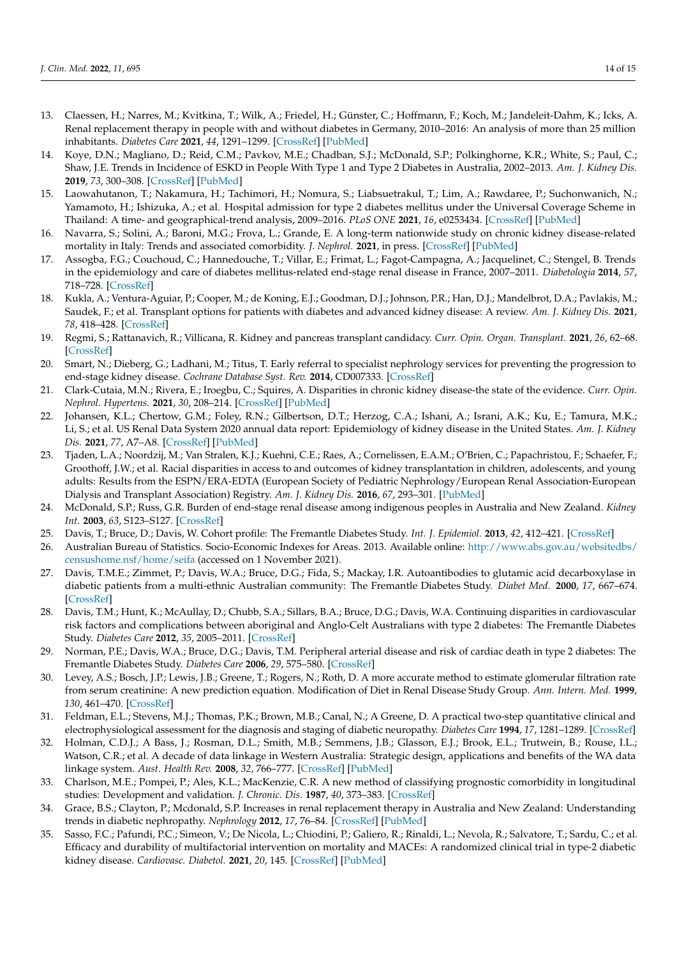- <span id="page-14-0"></span>13. Claessen, H.; Narres, M.; Kvitkina, T.; Wilk, A.; Friedel, H.; Günster, C.; Hoffmann, F.; Koch, M.; Jandeleit-Dahm, K.; Icks, A. Renal replacement therapy in people with and without diabetes in Germany, 2010–2016: An analysis of more than 25 million inhabitants. *Diabetes Care* **2021**, *44*, 1291–1299. [\[CrossRef\]](http://doi.org/10.2337/dc20-2477) [\[PubMed\]](http://www.ncbi.nlm.nih.gov/pubmed/33947749)
- <span id="page-14-1"></span>14. Koye, D.N.; Magliano, D.; Reid, C.M.; Pavkov, M.E.; Chadban, S.J.; McDonald, S.P.; Polkinghorne, K.R.; White, S.; Paul, C.; Shaw, J.E. Trends in Incidence of ESKD in People With Type 1 and Type 2 Diabetes in Australia, 2002–2013. *Am. J. Kidney Dis.* **2019**, *73*, 300–308. [\[CrossRef\]](http://doi.org/10.1053/j.ajkd.2018.10.005) [\[PubMed\]](http://www.ncbi.nlm.nih.gov/pubmed/30579709)
- 15. Laowahutanon, T.; Nakamura, H.; Tachimori, H.; Nomura, S.; Liabsuetrakul, T.; Lim, A.; Rawdaree, P.; Suchonwanich, N.; Yamamoto, H.; Ishizuka, A.; et al. Hospital admission for type 2 diabetes mellitus under the Universal Coverage Scheme in Thailand: A time- and geographical-trend analysis, 2009–2016. *PLoS ONE* **2021**, *16*, e0253434. [\[CrossRef\]](http://doi.org/10.1371/journal.pone.0253434) [\[PubMed\]](http://www.ncbi.nlm.nih.gov/pubmed/34197492)
- 16. Navarra, S.; Solini, A.; Baroni, M.G.; Frova, L.; Grande, E. A long-term nationwide study on chronic kidney disease-related mortality in Italy: Trends and associated comorbidity. *J. Nephrol.* **2021**, in press. [\[CrossRef\]](http://doi.org/10.1007/s40620-021-01132-9) [\[PubMed\]](http://www.ncbi.nlm.nih.gov/pubmed/34357572)
- <span id="page-14-2"></span>17. Assogba, F.G.; Couchoud, C.; Hannedouche, T.; Villar, E.; Frimat, L.; Fagot-Campagna, A.; Jacquelinet, C.; Stengel, B. Trends in the epidemiology and care of diabetes mellitus-related end-stage renal disease in France, 2007–2011. *Diabetologia* **2014**, *57*, 718–728. [\[CrossRef\]](http://doi.org/10.1007/s00125-014-3160-9)
- <span id="page-14-3"></span>18. Kukla, A.; Ventura-Aguiar, P.; Cooper, M.; de Koning, E.J.; Goodman, D.J.; Johnson, P.R.; Han, D.J.; Mandelbrot, D.A.; Pavlakis, M.; Saudek, F.; et al. Transplant options for patients with diabetes and advanced kidney disease: A review. *Am. J. Kidney Dis.* **2021**, *78*, 418–428. [\[CrossRef\]](http://doi.org/10.1053/j.ajkd.2021.02.339)
- 19. Regmi, S.; Rattanavich, R.; Villicana, R. Kidney and pancreas transplant candidacy. *Curr. Opin. Organ. Transplant.* **2021**, *26*, 62–68. [\[CrossRef\]](http://doi.org/10.1097/MOT.0000000000000843)
- <span id="page-14-4"></span>20. Smart, N.; Dieberg, G.; Ladhani, M.; Titus, T. Early referral to specialist nephrology services for preventing the progression to end-stage kidney disease. *Cochrane Database Syst. Rev.* **2014**, CD007333. [\[CrossRef\]](http://doi.org/10.1002/14651858.CD007333.pub2)
- <span id="page-14-5"></span>21. Clark-Cutaia, M.N.; Rivera, E.; Iroegbu, C.; Squires, A. Disparities in chronic kidney disease-the state of the evidence. *Curr. Opin. Nephrol. Hypertens.* **2021**, *30*, 208–214. [\[CrossRef\]](http://doi.org/10.1097/MNH.0000000000000688) [\[PubMed\]](http://www.ncbi.nlm.nih.gov/pubmed/33464006)
- 22. Johansen, K.L.; Chertow, G.M.; Foley, R.N.; Gilbertson, D.T.; Herzog, C.A.; Ishani, A.; Israni, A.K.; Ku, E.; Tamura, M.K.; Li, S.; et al. US Renal Data System 2020 annual data report: Epidemiology of kidney disease in the United States. *Am. J. Kidney Dis.* **2021**, *77*, A7–A8. [\[CrossRef\]](http://doi.org/10.1053/j.ajkd.2021.01.002) [\[PubMed\]](http://www.ncbi.nlm.nih.gov/pubmed/33752804)
- <span id="page-14-6"></span>23. Tjaden, L.A.; Noordzij, M.; Van Stralen, K.J.; Kuehni, C.E.; Raes, A.; Cornelissen, E.A.M.; O'Brien, C.; Papachristou, F.; Schaefer, F.; Groothoff, J.W.; et al. Racial disparities in access to and outcomes of kidney transplantation in children, adolescents, and young adults: Results from the ESPN/ERA-EDTA (European Society of Pediatric Nephrology/European Renal Association-European Dialysis and Transplant Association) Registry. *Am. J. Kidney Dis.* **2016**, *67*, 293–301. [\[PubMed\]](http://www.ncbi.nlm.nih.gov/pubmed/26561356)
- <span id="page-14-7"></span>24. McDonald, S.P.; Russ, G.R. Burden of end-stage renal disease among indigenous peoples in Australia and New Zealand. *Kidney Int.* **2003**, *63*, S123–S127. [\[CrossRef\]](http://doi.org/10.1046/j.1523-1755.63.s83.26.x)
- <span id="page-14-8"></span>25. Davis, T.; Bruce, D.; Davis, W. Cohort profile: The Fremantle Diabetes Study. *Int. J. Epidemiol.* **2013**, *42*, 412–421. [\[CrossRef\]](http://doi.org/10.1093/ije/dys065)
- <span id="page-14-9"></span>26. Australian Bureau of Statistics. Socio-Economic Indexes for Areas. 2013. Available online: [http://www.abs.gov.au/websitedbs/](http://www.abs.gov.au/websitedbs/censushome.nsf/home/seifa) [censushome.nsf/home/seifa](http://www.abs.gov.au/websitedbs/censushome.nsf/home/seifa) (accessed on 1 November 2021).
- <span id="page-14-10"></span>27. Davis, T.M.E.; Zimmet, P.; Davis, W.A.; Bruce, D.G.; Fida, S.; Mackay, I.R. Autoantibodies to glutamic acid decarboxylase in diabetic patients from a multi-ethnic Australian community: The Fremantle Diabetes Study. *Diabet Med.* **2000**, *17*, 667–674. [\[CrossRef\]](http://doi.org/10.1046/j.1464-5491.2000.00359.x)
- <span id="page-14-11"></span>28. Davis, T.M.; Hunt, K.; McAullay, D.; Chubb, S.A.; Sillars, B.A.; Bruce, D.G.; Davis, W.A. Continuing disparities in cardiovascular risk factors and complications between aboriginal and Anglo-Celt Australians with type 2 diabetes: The Fremantle Diabetes Study. *Diabetes Care* **2012**, *35*, 2005–2011. [\[CrossRef\]](http://doi.org/10.2337/dc12-0225)
- <span id="page-14-12"></span>29. Norman, P.E.; Davis, W.A.; Bruce, D.G.; Davis, T.M. Peripheral arterial disease and risk of cardiac death in type 2 diabetes: The Fremantle Diabetes Study. *Diabetes Care* **2006**, *29*, 575–580. [\[CrossRef\]](http://doi.org/10.2337/diacare.29.03.06.dc05-1567)
- <span id="page-14-13"></span>30. Levey, A.S.; Bosch, J.P.; Lewis, J.B.; Greene, T.; Rogers, N.; Roth, D. A more accurate method to estimate glomerular filtration rate from serum creatinine: A new prediction equation. Modification of Diet in Renal Disease Study Group. *Ann. Intern. Med.* **1999**, *130*, 461–470. [\[CrossRef\]](http://doi.org/10.7326/0003-4819-130-6-199903160-00002)
- <span id="page-14-14"></span>31. Feldman, E.L.; Stevens, M.J.; Thomas, P.K.; Brown, M.B.; Canal, N.; A Greene, D. A practical two-step quantitative clinical and electrophysiological assessment for the diagnosis and staging of diabetic neuropathy. *Diabetes Care* **1994**, *17*, 1281–1289. [\[CrossRef\]](http://doi.org/10.2337/diacare.17.11.1281)
- <span id="page-14-15"></span>32. Holman, C.D.J.; A Bass, J.; Rosman, D.L.; Smith, M.B.; Semmens, J.B.; Glasson, E.J.; Brook, E.L.; Trutwein, B.; Rouse, I.L.; Watson, C.R.; et al. A decade of data linkage in Western Australia: Strategic design, applications and benefits of the WA data linkage system. *Aust. Health Rev.* **2008**, *32*, 766–777. [\[CrossRef\]](http://doi.org/10.1071/AH080766) [\[PubMed\]](http://www.ncbi.nlm.nih.gov/pubmed/18980573)
- <span id="page-14-16"></span>33. Charlson, M.E.; Pompei, P.; Ales, K.L.; MacKenzie, C.R. A new method of classifying prognostic comorbidity in longitudinal studies: Development and validation. *J. Chronic. Dis.* **1987**, *40*, 373–383. [\[CrossRef\]](http://doi.org/10.1016/0021-9681(87)90171-8)
- <span id="page-14-17"></span>34. Grace, B.S.; Clayton, P.; Mcdonald, S.P. Increases in renal replacement therapy in Australia and New Zealand: Understanding trends in diabetic nephropathy. *Nephrology* **2012**, *17*, 76–84. [\[CrossRef\]](http://doi.org/10.1111/j.1440-1797.2011.01512.x) [\[PubMed\]](http://www.ncbi.nlm.nih.gov/pubmed/21854505)
- <span id="page-14-18"></span>35. Sasso, F.C.; Pafundi, P.C.; Simeon, V.; De Nicola, L.; Chiodini, P.; Galiero, R.; Rinaldi, L.; Nevola, R.; Salvatore, T.; Sardu, C.; et al. Efficacy and durability of multifactorial intervention on mortality and MACEs: A randomized clinical trial in type-2 diabetic kidney disease. *Cardiovasc. Diabetol.* **2021**, *20*, 145. [\[CrossRef\]](http://doi.org/10.1186/s12933-021-01343-1) [\[PubMed\]](http://www.ncbi.nlm.nih.gov/pubmed/34271948)